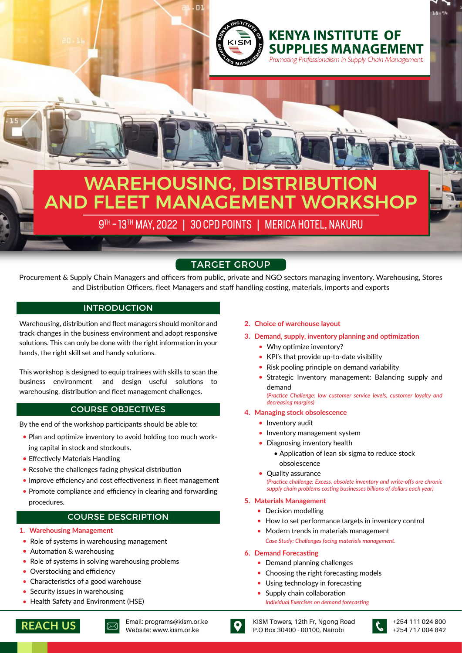

nı

# WAREHOUSING, DISTRIBUTION AND FLEET MANAGEMENT WORKSHOP

9TH - 13TH MAY, 2022 | 30 CPD POINTS | MERICA HOTEL, NAKURU

# TARGET GROUP

Procurement & Supply Chain Managers and officers from public, private and NGO sectors managing inventory. Warehousing, Stores and Distribution Officers, fleet Managers and staff handling costing, materials, imports and exports

# INTRODUCTION

Warehousing, distribution and fleet managers should monitor and track changes in the business environment and adopt responsive solutions. This can only be done with the right information in your hands, the right skill set and handy solutions.

This workshop is designed to equip trainees with skills to scan the business environment and design useful solutions to warehousing, distribution and fleet management challenges.

# COURSE OBJECTIVES

By the end of the workshop participants should be able to:

- Plan and optimize inventory to avoid holding too much working capital in stock and stockouts.
- Effectively Materials Handling
- Resolve the challenges facing physical distribution
- Improve efficiency and cost effectiveness in fleet management
- Promote compliance and efficiency in clearing and forwarding procedures.

## COURSE DESCRIPTION

- **1. Warehousing Management**
- Role of systems in warehousing management
- Automation & warehousing
- Role of systems in solving warehousing problems
- Overstocking and efficiency
- Characteristics of a good warehouse
- Security issues in warehousing
- Health Safety and Environment (HSE)

## **2. Choice of warehouse layout**

**3. Demand, supply, inventory planning and optimization**

**KENYA INSTITUTE OF** 

**SUPPLIES MANAGEMENT** Promoting Professionalism in Supply Chain Management.

- Why optimize inventory?
- KPI's that provide up-to-date visibility
- Risk pooling principle on demand variability
- Strategic Inventory management: Balancing supply and demand

*(Practice Challenge: low customer service levels, customer loyalty and decreasing margins)*

### **4. Managing stock obsolescence**

- Inventory audit
- $\bullet$  Inventory management system
- Diagnosing inventory health
	- Application of lean six sigma to reduce stock obsolescence
- Quality assurance

*(Practice challenge: Excess, obsolete inventory and write-offs are chronic supply chain problems costing businesses billions of dollars each year)*

#### **5. Materials Management**

- Decision modelling
- How to set performance targets in inventory control
- *Case Study: Challenges facing materials management.* • Modern trends in materials management

#### **6. Demand Forecasting**

- Demand planning challenges
- Choosing the right forecasting models
	- Using technology in forecasting
- Supply chain collaboration
- *Individual Exercises on demand forecasting*